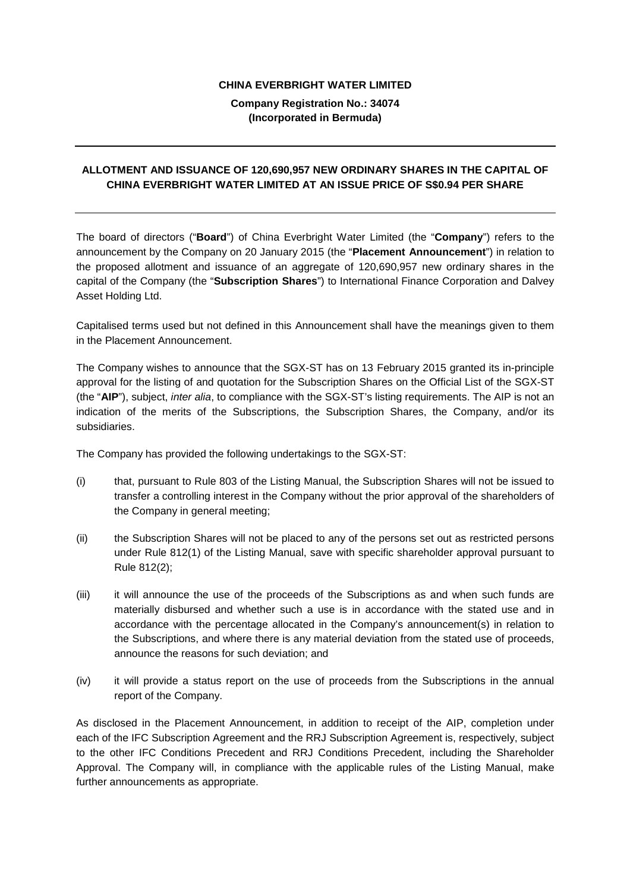## **CHINA EVERBRIGHT WATER LIMITED**

## **Company Registration No.: 34074 (Incorporated in Bermuda)**

## **ALLOTMENT AND ISSUANCE OF 120,690,957 NEW ORDINARY SHARES IN THE CAPITAL OF CHINA EVERBRIGHT WATER LIMITED AT AN ISSUE PRICE OF S\$0.94 PER SHARE**

The board of directors ("**Board**") of China Everbright Water Limited (the "**Company**") refers to the announcement by the Company on 20 January 2015 (the "**Placement Announcement**") in relation to the proposed allotment and issuance of an aggregate of 120,690,957 new ordinary shares in the capital of the Company (the "**Subscription Shares**") to International Finance Corporation and Dalvey Asset Holding Ltd.

Capitalised terms used but not defined in this Announcement shall have the meanings given to them in the Placement Announcement.

The Company wishes to announce that the SGX-ST has on 13 February 2015 granted its in-principle approval for the listing of and quotation for the Subscription Shares on the Official List of the SGX-ST (the "**AIP**"), subject, *inter alia*, to compliance with the SGX-ST's listing requirements. The AIP is not an indication of the merits of the Subscriptions, the Subscription Shares, the Company, and/or its subsidiaries.

The Company has provided the following undertakings to the SGX-ST:

- (i) that, pursuant to Rule 803 of the Listing Manual, the Subscription Shares will not be issued to transfer a controlling interest in the Company without the prior approval of the shareholders of the Company in general meeting;
- (ii) the Subscription Shares will not be placed to any of the persons set out as restricted persons under Rule 812(1) of the Listing Manual, save with specific shareholder approval pursuant to Rule 812(2);
- (iii) it will announce the use of the proceeds of the Subscriptions as and when such funds are materially disbursed and whether such a use is in accordance with the stated use and in accordance with the percentage allocated in the Company's announcement(s) in relation to the Subscriptions, and where there is any material deviation from the stated use of proceeds, announce the reasons for such deviation; and
- (iv) it will provide a status report on the use of proceeds from the Subscriptions in the annual report of the Company.

As disclosed in the Placement Announcement, in addition to receipt of the AIP, completion under each of the IFC Subscription Agreement and the RRJ Subscription Agreement is, respectively, subject to the other IFC Conditions Precedent and RRJ Conditions Precedent, including the Shareholder Approval. The Company will, in compliance with the applicable rules of the Listing Manual, make further announcements as appropriate.